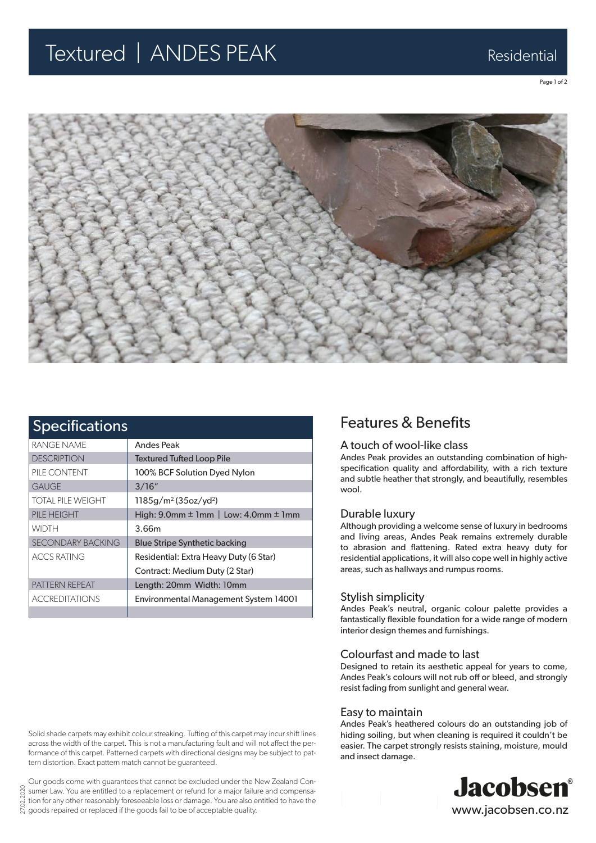## Textured | ANDES PEAK Residential

Page 1 of 2



| <b>Specifications</b>    |                                                    |
|--------------------------|----------------------------------------------------|
| RANGE NAME               | <b>Andes Peak</b>                                  |
| <b>DESCRIPTION</b>       | <b>Textured Tufted Loop Pile</b>                   |
| PILE CONTENT             | 100% BCF Solution Dyed Nylon                       |
| <b>GAUGE</b>             | 3/16"                                              |
| <b>TOTAL PILE WEIGHT</b> | $1185g/m^2(35oz/yd^2)$                             |
| PILE HEIGHT              | High: $9.0$ mm $\pm$ 1mm   Low: $4.0$ mm $\pm$ 1mm |
| <b>WIDTH</b>             | 3.66m                                              |
| <b>SECONDARY BACKING</b> | <b>Blue Stripe Synthetic backing</b>               |
| <b>ACCS RATING</b>       | Residential: Extra Heavy Duty (6 Star)             |
|                          | Contract: Medium Duty (2 Star)                     |
| PATTERN REPEAT           | Length: 20mm Width: 10mm                           |
| <b>ACCREDITATIONS</b>    | <b>Environmental Management System 14001</b>       |
|                          |                                                    |

### Features & Benefits

### A touch of wool-like class

Andes Peak provides an outstanding combination of highspecification quality and affordability, with a rich texture and subtle heather that strongly, and beautifully, resembles wool.

#### Durable luxury

Although providing a welcome sense of luxury in bedrooms and living areas, Andes Peak remains extremely durable to abrasion and flattening. Rated extra heavy duty for residential applications, it will also cope well in highly active areas, such as hallways and rumpus rooms.

#### Stylish simplicity

Andes Peak's neutral, organic colour palette provides a fantastically flexible foundation for a wide range of modern interior design themes and furnishings.

#### Colourfast and made to last

Designed to retain its aesthetic appeal for years to come, Andes Peak's colours will not rub off or bleed, and strongly resist fading from sunlight and general wear.

#### Easy to maintain

Andes Peak's heathered colours do an outstanding job of hiding soiling, but when cleaning is required it couldn't be easier. The carpet strongly resists staining, moisture, mould and insect damage.



Solid shade carpets may exhibit colour streaking. Tufting of this carpet may incur shift lines across the width of the carpet. This is not a manufacturing fault and will not affect the performance of this carpet. Patterned carpets with directional designs may be subject to pattern distortion. Exact pattern match cannot be guaranteed.

27.02.2020 Our goods come with guarantees that cannot be excluded under the New Zealand Consumer Law. You are entitled to a replacement or refund for a major failure and compensation for any other reasonably foreseeable loss or damage. You are also entitled to have the  $\frac{S}{S}$  tion for any other reasonably foreseeable loss or damage. You are also e<br> $S$  goods repaired or replaced if the goods fail to be of acceptable quality.